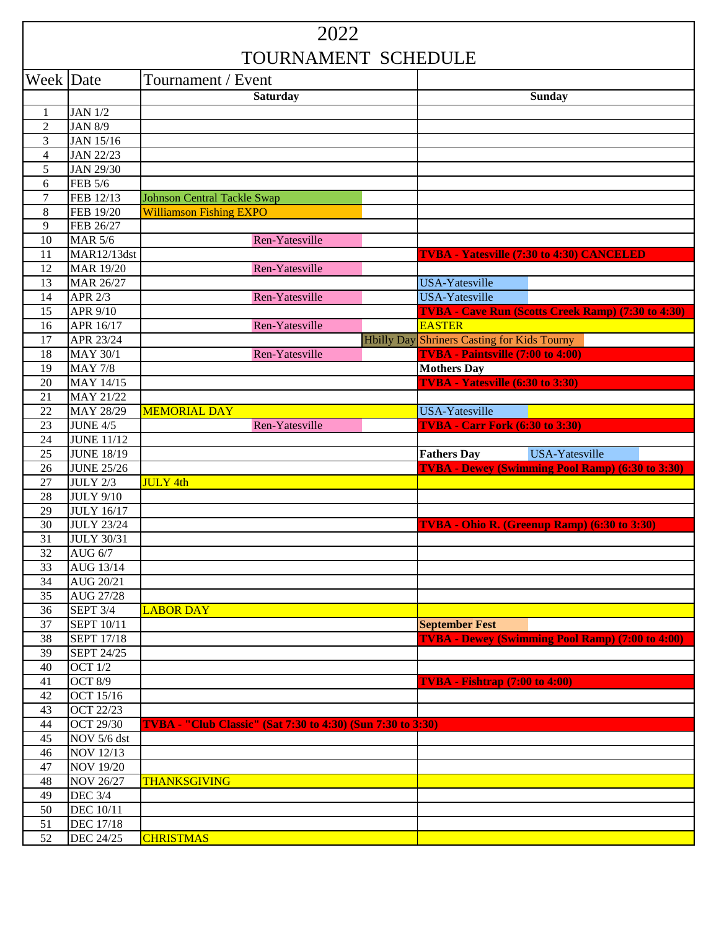| 2022                  |                                      |                                                                    |  |                                                                        |
|-----------------------|--------------------------------------|--------------------------------------------------------------------|--|------------------------------------------------------------------------|
| TOURNAMENT SCHEDULE   |                                      |                                                                    |  |                                                                        |
| Week Date             |                                      | Tournament / Event                                                 |  |                                                                        |
|                       |                                      | <b>Saturday</b>                                                    |  | <b>Sunday</b>                                                          |
| 1                     | <b>JAN 1/2</b>                       |                                                                    |  |                                                                        |
| $\mathfrak{2}$        | <b>JAN 8/9</b>                       |                                                                    |  |                                                                        |
| 3                     | JAN 15/16                            |                                                                    |  |                                                                        |
| 4                     | <b>JAN 22/23</b>                     |                                                                    |  |                                                                        |
| 5                     | <b>JAN 29/30</b>                     |                                                                    |  |                                                                        |
| 6                     | FEB 5/6                              |                                                                    |  |                                                                        |
| $\tau$                | FEB 12/13                            | <b>Johnson Central Tackle Swap</b>                                 |  |                                                                        |
| 8                     | FEB 19/20                            | <b>Williamson Fishing EXPO</b>                                     |  |                                                                        |
| 9                     | FEB 26/27                            |                                                                    |  |                                                                        |
| 10                    | <b>MAR 5/6</b>                       | Ren-Yatesville                                                     |  |                                                                        |
| 11                    | MAR12/13dst                          |                                                                    |  | <b>TVBA - Yatesville (7:30 to 4:30) CANCELED</b>                       |
| 12                    | <b>MAR 19/20</b>                     | Ren-Yatesville                                                     |  |                                                                        |
| 13                    | <b>MAR 26/27</b>                     |                                                                    |  | USA-Yatesville                                                         |
| 14                    | APR 2/3                              | Ren-Yatesville                                                     |  | <b>USA-Yatesville</b>                                                  |
| 15                    | APR 9/10                             |                                                                    |  | TVBA - Cave Run (Scotts Creek Ramp) (7:30 to 4:30)                     |
| 16                    | APR 16/17                            | Ren-Yatesville                                                     |  | <b>EASTER</b>                                                          |
| 17                    | APR 23/24                            |                                                                    |  | <b>Hbilly Day Shriners Casting for Kids Tourny</b>                     |
| 18                    | <b>MAY 30/1</b>                      | Ren-Yatesville                                                     |  | <b>TVBA</b> - Paintsville (7:00 to 4:00)                               |
| 19                    | <b>MAY 7/8</b>                       |                                                                    |  | <b>Mothers Day</b>                                                     |
| 20                    | MAY 14/15                            |                                                                    |  | <b>TVBA</b> - Yatesville (6:30 to 3:30)                                |
| 21                    | MAY 21/22                            |                                                                    |  |                                                                        |
| 22                    | MAY 28/29                            | <b>MEMORIAL DAY</b>                                                |  | <b>USA-Yatesville</b>                                                  |
| 23                    | <b>JUNE 4/5</b><br><b>JUNE 11/12</b> | Ren-Yatesville                                                     |  | <b>TVBA - Carr Fork (6:30 to 3:30)</b>                                 |
| 24<br>25              | <b>JUNE 18/19</b>                    |                                                                    |  | USA-Yatesville                                                         |
| 26                    | <b>JUNE 25/26</b>                    |                                                                    |  | <b>Fathers Day</b><br>TVBA - Dewey (Swimming Pool Ramp) (6:30 to 3:30) |
| 27                    | <b>JULY 2/3</b>                      | <b>JULY 4th</b>                                                    |  |                                                                        |
| 28                    | <b>JULY 9/10</b>                     |                                                                    |  |                                                                        |
| 29                    |                                      |                                                                    |  |                                                                        |
|                       |                                      |                                                                    |  |                                                                        |
|                       | <b>JULY 16/17</b>                    |                                                                    |  |                                                                        |
| 30                    | <b>JULY 23/24</b>                    |                                                                    |  | TVBA - Ohio R. (Greenup Ramp) (6:30 to 3:30)                           |
| 31                    | <b>JULY 30/31</b>                    |                                                                    |  |                                                                        |
| 32                    | <b>AUG 6/7</b>                       |                                                                    |  |                                                                        |
| 33                    | AUG 13/14                            |                                                                    |  |                                                                        |
| 34                    | AUG 20/21                            |                                                                    |  |                                                                        |
| 35<br>36              | AUG 27/28<br><b>SEPT 3/4</b>         | <b>LABOR DAY</b>                                                   |  |                                                                        |
| 37                    | <b>SEPT 10/11</b>                    |                                                                    |  | <b>September Fest</b>                                                  |
| 38                    | <b>SEPT 17/18</b>                    |                                                                    |  |                                                                        |
| 39                    | <b>SEPT 24/25</b>                    |                                                                    |  | <b>TVBA - Dewey (Swimming Pool Ramp) (7:00 to 4:00)</b>                |
| 40                    | <b>OCT 1/2</b>                       |                                                                    |  |                                                                        |
| 41                    | <b>OCT 8/9</b>                       |                                                                    |  | <b>TVBA - Fishtrap (7:00 to 4:00)</b>                                  |
| 42                    | OCT 15/16                            |                                                                    |  |                                                                        |
| 43                    | <b>OCT 22/23</b>                     |                                                                    |  |                                                                        |
| 44                    | <b>OCT 29/30</b>                     | <b>TVBA</b> - "Club Classic" (Sat 7:30 to 4:30) (Sun 7:30 to 3:30) |  |                                                                        |
| 45                    | NOV 5/6 dst                          |                                                                    |  |                                                                        |
| 46                    | <b>NOV 12/13</b>                     |                                                                    |  |                                                                        |
| 47                    | <b>NOV 19/20</b>                     |                                                                    |  |                                                                        |
| 48                    | <b>NOV 26/27</b>                     | <b>THANKSGIVING</b>                                                |  |                                                                        |
| 49                    | <b>DEC 3/4</b>                       |                                                                    |  |                                                                        |
| 50                    | <b>DEC</b> 10/11                     |                                                                    |  |                                                                        |
| 51<br>$\overline{52}$ | <b>DEC 17/18</b><br>DEC 24/25        | <b>CHRISTMAS</b>                                                   |  |                                                                        |